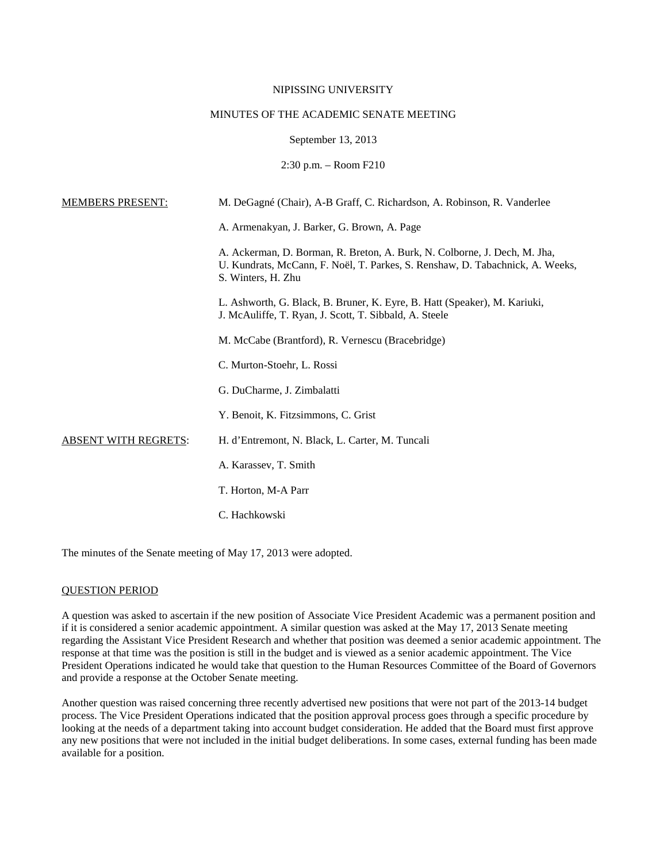# NIPISSING UNIVERSITY

# MINUTES OF THE ACADEMIC SENATE MEETING

#### September 13, 2013

# 2:30 p.m. – Room F210

| <b>MEMBERS PRESENT:</b>     | M. DeGagné (Chair), A-B Graff, C. Richardson, A. Robinson, R. Vanderlee                                                                                                          |
|-----------------------------|----------------------------------------------------------------------------------------------------------------------------------------------------------------------------------|
|                             | A. Armenakyan, J. Barker, G. Brown, A. Page                                                                                                                                      |
|                             | A. Ackerman, D. Borman, R. Breton, A. Burk, N. Colborne, J. Dech, M. Jha,<br>U. Kundrats, McCann, F. Noël, T. Parkes, S. Renshaw, D. Tabachnick, A. Weeks,<br>S. Winters, H. Zhu |
|                             | L. Ashworth, G. Black, B. Bruner, K. Eyre, B. Hatt (Speaker), M. Kariuki,<br>J. McAuliffe, T. Ryan, J. Scott, T. Sibbald, A. Steele                                              |
|                             | M. McCabe (Brantford), R. Vernescu (Bracebridge)                                                                                                                                 |
|                             | C. Murton-Stoehr, L. Rossi                                                                                                                                                       |
|                             | G. DuCharme, J. Zimbalatti                                                                                                                                                       |
|                             | Y. Benoit, K. Fitzsimmons, C. Grist                                                                                                                                              |
| <b>ABSENT WITH REGRETS:</b> | H. d'Entremont, N. Black, L. Carter, M. Tuncali                                                                                                                                  |
|                             | A. Karassev, T. Smith                                                                                                                                                            |
|                             | T. Horton, M-A Parr                                                                                                                                                              |
|                             | C. Hachkowski                                                                                                                                                                    |

The minutes of the Senate meeting of May 17, 2013 were adopted.

# QUESTION PERIOD

A question was asked to ascertain if the new position of Associate Vice President Academic was a permanent position and if it is considered a senior academic appointment. A similar question was asked at the May 17, 2013 Senate meeting regarding the Assistant Vice President Research and whether that position was deemed a senior academic appointment. The response at that time was the position is still in the budget and is viewed as a senior academic appointment. The Vice President Operations indicated he would take that question to the Human Resources Committee of the Board of Governors and provide a response at the October Senate meeting.

Another question was raised concerning three recently advertised new positions that were not part of the 2013-14 budget process. The Vice President Operations indicated that the position approval process goes through a specific procedure by looking at the needs of a department taking into account budget consideration. He added that the Board must first approve any new positions that were not included in the initial budget deliberations. In some cases, external funding has been made available for a position.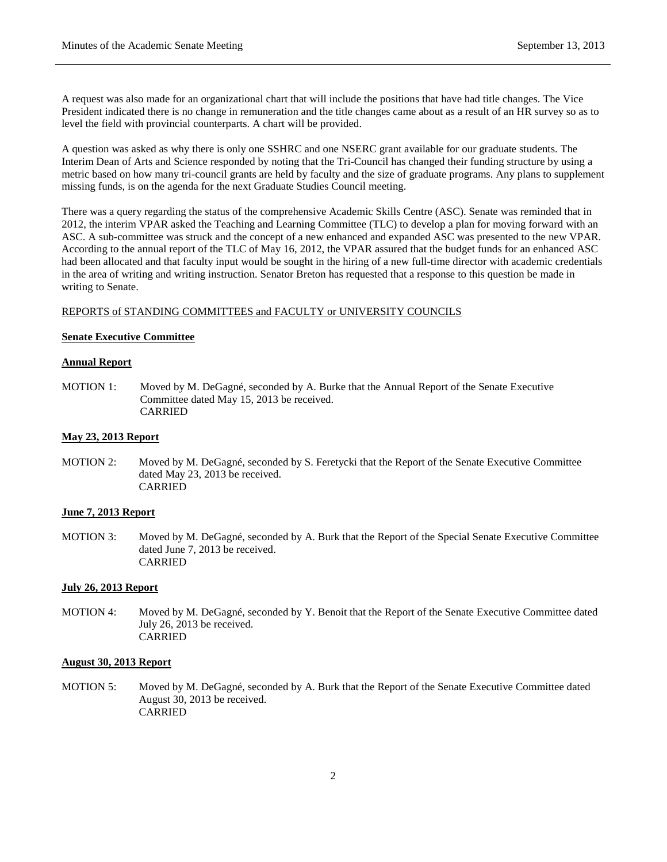A request was also made for an organizational chart that will include the positions that have had title changes. The Vice President indicated there is no change in remuneration and the title changes came about as a result of an HR survey so as to level the field with provincial counterparts. A chart will be provided.

A question was asked as why there is only one SSHRC and one NSERC grant available for our graduate students. The Interim Dean of Arts and Science responded by noting that the Tri-Council has changed their funding structure by using a metric based on how many tri-council grants are held by faculty and the size of graduate programs. Any plans to supplement missing funds, is on the agenda for the next Graduate Studies Council meeting.

There was a query regarding the status of the comprehensive Academic Skills Centre (ASC). Senate was reminded that in 2012, the interim VPAR asked the Teaching and Learning Committee (TLC) to develop a plan for moving forward with an ASC. A sub-committee was struck and the concept of a new enhanced and expanded ASC was presented to the new VPAR. According to the annual report of the TLC of May 16, 2012, the VPAR assured that the budget funds for an enhanced ASC had been allocated and that faculty input would be sought in the hiring of a new full-time director with academic credentials in the area of writing and writing instruction. Senator Breton has requested that a response to this question be made in writing to Senate.

# REPORTS of STANDING COMMITTEES and FACULTY or UNIVERSITY COUNCILS

## **Senate Executive Committee**

## **Annual Report**

MOTION 1: Moved by M. DeGagné, seconded by A. Burke that the Annual Report of the Senate Executive Committee dated May 15, 2013 be received. CARRIED

### **May 23, 2013 Report**

MOTION 2: Moved by M. DeGagné, seconded by S. Feretycki that the Report of the Senate Executive Committee dated May 23, 2013 be received. CARRIED

## **June 7, 2013 Report**

MOTION 3: Moved by M. DeGagné, seconded by A. Burk that the Report of the Special Senate Executive Committee dated June 7, 2013 be received. CARRIED

## **July 26, 2013 Report**

MOTION 4: Moved by M. DeGagné, seconded by Y. Benoit that the Report of the Senate Executive Committee dated July 26, 2013 be received. CARRIED

## **August 30, 2013 Report**

MOTION 5: Moved by M. DeGagné, seconded by A. Burk that the Report of the Senate Executive Committee dated August 30, 2013 be received. CARRIED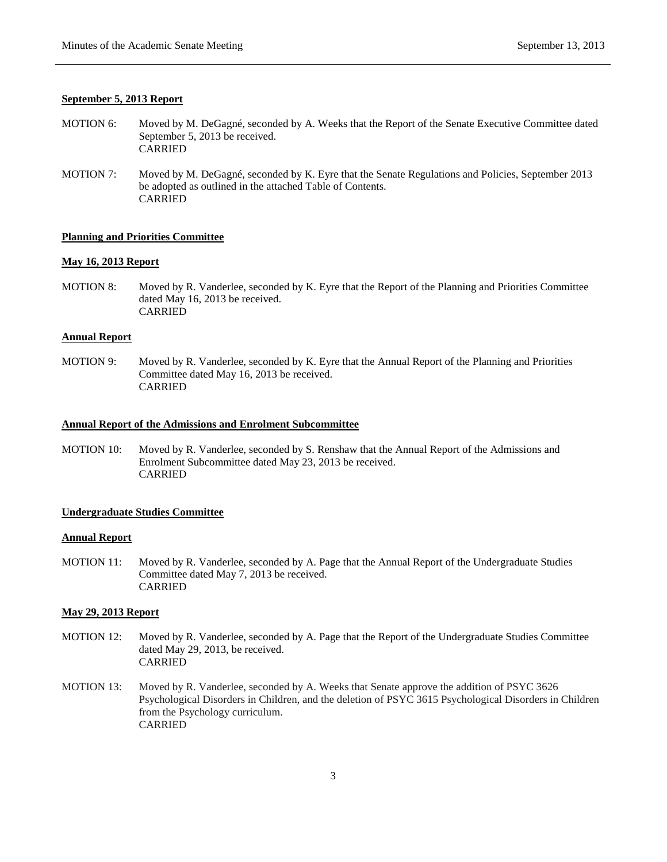## **September 5, 2013 Report**

- MOTION 6: Moved by M. DeGagné, seconded by A. Weeks that the Report of the Senate Executive Committee dated September 5, 2013 be received. CARRIED
- MOTION 7: Moved by M. DeGagné, seconded by K. Eyre that the Senate Regulations and Policies, September 2013 be adopted as outlined in the attached Table of Contents. CARRIED

## **Planning and Priorities Committee**

### **May 16, 2013 Report**

MOTION 8: Moved by R. Vanderlee, seconded by K. Eyre that the Report of the Planning and Priorities Committee dated May 16, 2013 be received. CARRIED

### **Annual Report**

MOTION 9: Moved by R. Vanderlee, seconded by K. Eyre that the Annual Report of the Planning and Priorities Committee dated May 16, 2013 be received. CARRIED

#### **Annual Report of the Admissions and Enrolment Subcommittee**

MOTION 10: Moved by R. Vanderlee, seconded by S. Renshaw that the Annual Report of the Admissions and Enrolment Subcommittee dated May 23, 2013 be received. CARRIED

## **Undergraduate Studies Committee**

## **Annual Report**

MOTION 11: Moved by R. Vanderlee, seconded by A. Page that the Annual Report of the Undergraduate Studies Committee dated May 7, 2013 be received. CARRIED

## **May 29, 2013 Report**

- MOTION 12: Moved by R. Vanderlee, seconded by A. Page that the Report of the Undergraduate Studies Committee dated May 29, 2013, be received. CARRIED
- MOTION 13: Moved by R. Vanderlee, seconded by A. Weeks that Senate approve the addition of PSYC 3626 Psychological Disorders in Children, and the deletion of PSYC 3615 Psychological Disorders in Children from the Psychology curriculum. CARRIED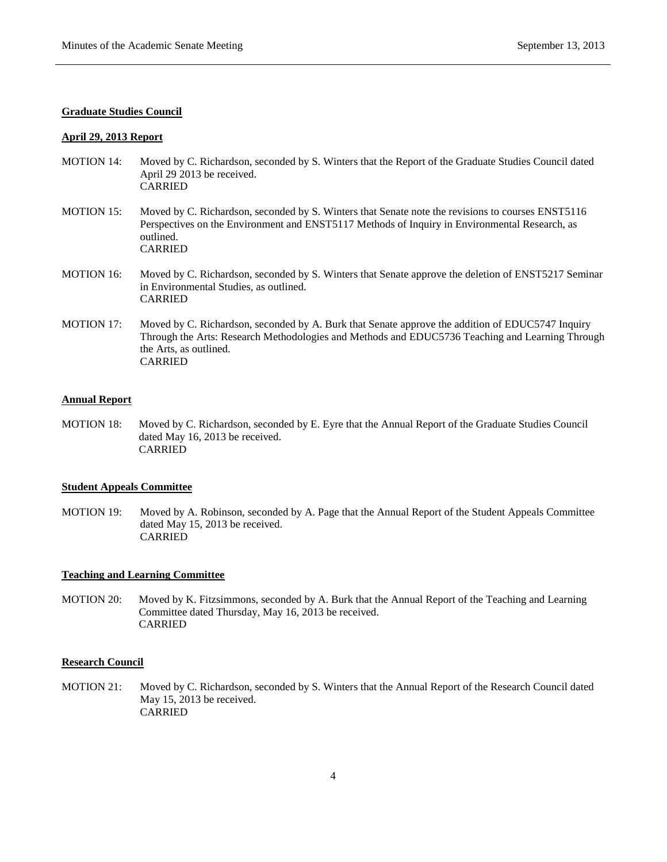### **Graduate Studies Council**

### **April 29, 2013 Report**

- MOTION 14: Moved by C. Richardson, seconded by S. Winters that the Report of the Graduate Studies Council dated April 29 2013 be received. CARRIED
- MOTION 15: Moved by C. Richardson, seconded by S. Winters that Senate note the revisions to courses ENST5116 Perspectives on the Environment and ENST5117 Methods of Inquiry in Environmental Research, as outlined. CARRIED
- MOTION 16: Moved by C. Richardson, seconded by S. Winters that Senate approve the deletion of ENST5217 Seminar in Environmental Studies, as outlined. CARRIED
- MOTION 17: Moved by C. Richardson, seconded by A. Burk that Senate approve the addition of EDUC5747 Inquiry Through the Arts: Research Methodologies and Methods and EDUC5736 Teaching and Learning Through the Arts, as outlined. CARRIED

### **Annual Report**

MOTION 18: Moved by C. Richardson, seconded by E. Eyre that the Annual Report of the Graduate Studies Council dated May 16, 2013 be received. CARRIED

## **Student Appeals Committee**

MOTION 19: Moved by A. Robinson, seconded by A. Page that the Annual Report of the Student Appeals Committee dated May 15, 2013 be received. CARRIED

# **Teaching and Learning Committee**

MOTION 20: Moved by K. Fitzsimmons, seconded by A. Burk that the Annual Report of the Teaching and Learning Committee dated Thursday, May 16, 2013 be received. CARRIED

## **Research Council**

MOTION 21: Moved by C. Richardson, seconded by S. Winters that the Annual Report of the Research Council dated May 15, 2013 be received. CARRIED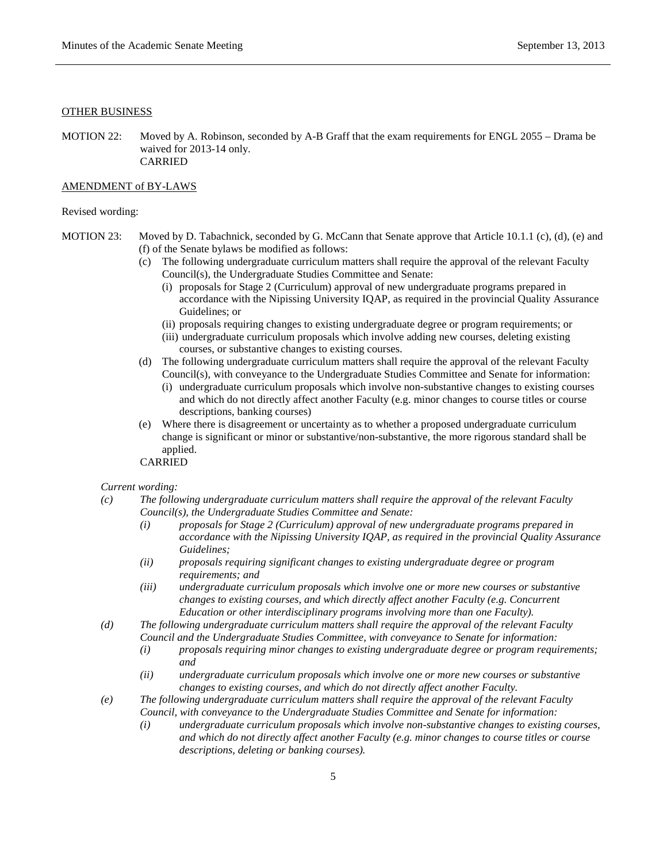### OTHER BUSINESS

MOTION 22: Moved by A. Robinson, seconded by A-B Graff that the exam requirements for ENGL 2055 – Drama be waived for 2013-14 only. CARRIED

#### AMENDMENT of BY-LAWS

### Revised wording:

- MOTION 23: Moved by D. Tabachnick, seconded by G. McCann that Senate approve that Article 10.1.1 (c), (d), (e) and (f) of the Senate bylaws be modified as follows:
	- (c) The following undergraduate curriculum matters shall require the approval of the relevant Faculty Council(s), the Undergraduate Studies Committee and Senate:
		- (i) proposals for Stage 2 (Curriculum) approval of new undergraduate programs prepared in accordance with the Nipissing University IQAP, as required in the provincial Quality Assurance Guidelines; or
		- (ii) proposals requiring changes to existing undergraduate degree or program requirements; or
		- (iii) undergraduate curriculum proposals which involve adding new courses, deleting existing courses, or substantive changes to existing courses.
	- (d) The following undergraduate curriculum matters shall require the approval of the relevant Faculty Council(s), with conveyance to the Undergraduate Studies Committee and Senate for information:
		- (i) undergraduate curriculum proposals which involve non-substantive changes to existing courses and which do not directly affect another Faculty (e.g. minor changes to course titles or course descriptions, banking courses)
	- (e) Where there is disagreement or uncertainty as to whether a proposed undergraduate curriculum change is significant or minor or substantive/non-substantive, the more rigorous standard shall be applied.

CARRIED

### *Current wording:*

- *(c) The following undergraduate curriculum matters shall require the approval of the relevant Faculty Council(s), the Undergraduate Studies Committee and Senate:*
	- *(i) proposals for Stage 2 (Curriculum) approval of new undergraduate programs prepared in accordance with the Nipissing University IQAP, as required in the provincial Quality Assurance Guidelines;*
	- *(ii) proposals requiring significant changes to existing undergraduate degree or program requirements; and*
	- *(iii) undergraduate curriculum proposals which involve one or more new courses or substantive changes to existing courses, and which directly affect another Faculty (e.g. Concurrent Education or other interdisciplinary programs involving more than one Faculty).*
- *(d) The following undergraduate curriculum matters shall require the approval of the relevant Faculty Council and the Undergraduate Studies Committee, with conveyance to Senate for information:*
	- *(i) proposals requiring minor changes to existing undergraduate degree or program requirements; and*
	- *(ii) undergraduate curriculum proposals which involve one or more new courses or substantive changes to existing courses, and which do not directly affect another Faculty.*
- *(e) The following undergraduate curriculum matters shall require the approval of the relevant Faculty Council, with conveyance to the Undergraduate Studies Committee and Senate for information:*
	- *(i) undergraduate curriculum proposals which involve non-substantive changes to existing courses, and which do not directly affect another Faculty (e.g. minor changes to course titles or course descriptions, deleting or banking courses).*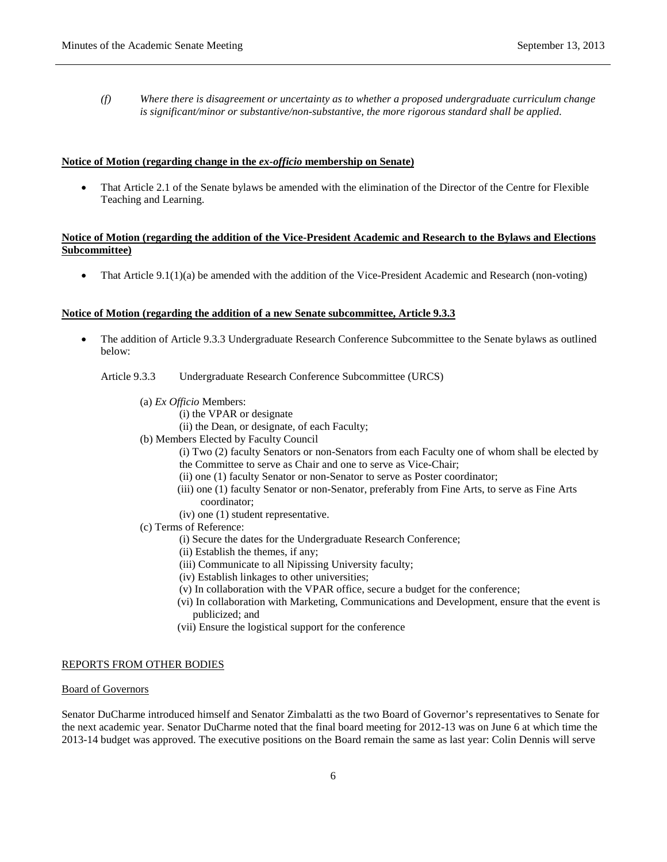*(f) Where there is disagreement or uncertainty as to whether a proposed undergraduate curriculum change is significant/minor or substantive/non-substantive, the more rigorous standard shall be applied.*

# **Notice of Motion (regarding change in the** *ex-officio* **membership on Senate)**

• That Article 2.1 of the Senate bylaws be amended with the elimination of the Director of the Centre for Flexible Teaching and Learning.

# **Notice of Motion (regarding the addition of the Vice-President Academic and Research to the Bylaws and Elections Subcommittee)**

• That Article 9.1(1)(a) be amended with the addition of the Vice-President Academic and Research (non-voting)

#### **Notice of Motion (regarding the addition of a new Senate subcommittee, Article 9.3.3**

• The addition of Article 9.3.3 Undergraduate Research Conference Subcommittee to the Senate bylaws as outlined below:

Article 9.3.3 Undergraduate Research Conference Subcommittee (URCS)

- (a) *Ex Officio* Members:
	- (i) the VPAR or designate
	- (ii) the Dean, or designate, of each Faculty;
- (b) Members Elected by Faculty Council
	- (i) Two (2) faculty Senators or non-Senators from each Faculty one of whom shall be elected by the Committee to serve as Chair and one to serve as Vice-Chair;
	- (ii) one (1) faculty Senator or non-Senator to serve as Poster coordinator;
	- (iii) one (1) faculty Senator or non-Senator, preferably from Fine Arts, to serve as Fine Arts coordinator;
	- (iv) one (1) student representative.
- (c) Terms of Reference:
	- (i) Secure the dates for the Undergraduate Research Conference;
	- (ii) Establish the themes, if any;
	- (iii) Communicate to all Nipissing University faculty;
	- (iv) Establish linkages to other universities;
	- (v) In collaboration with the VPAR office, secure a budget for the conference;
	- (vi) In collaboration with Marketing, Communications and Development, ensure that the event is publicized; and
	- (vii) Ensure the logistical support for the conference

## REPORTS FROM OTHER BODIES

#### Board of Governors

Senator DuCharme introduced himself and Senator Zimbalatti as the two Board of Governor's representatives to Senate for the next academic year. Senator DuCharme noted that the final board meeting for 2012-13 was on June 6 at which time the 2013-14 budget was approved. The executive positions on the Board remain the same as last year: Colin Dennis will serve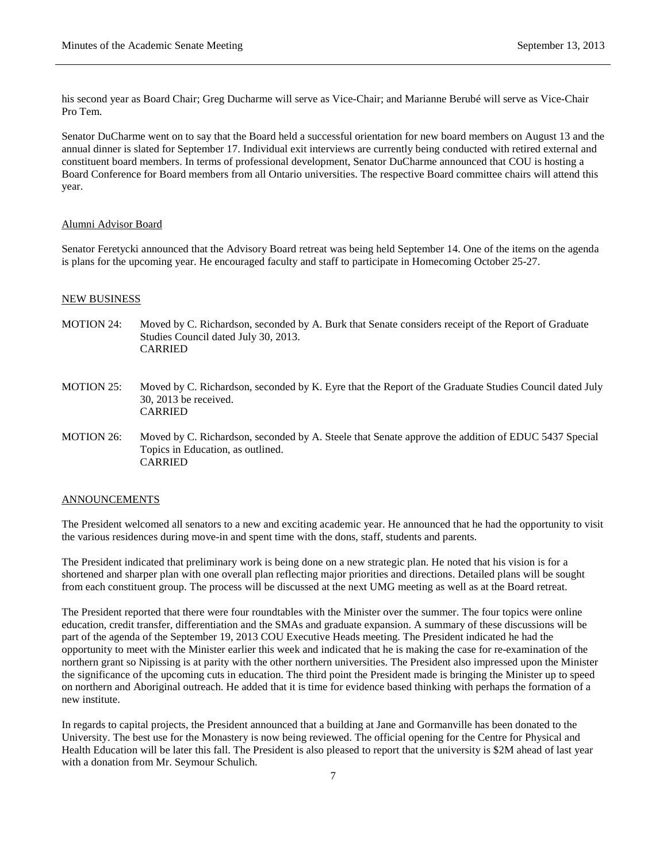his second year as Board Chair; Greg Ducharme will serve as Vice-Chair; and Marianne Berubé will serve as Vice-Chair Pro Tem.

Senator DuCharme went on to say that the Board held a successful orientation for new board members on August 13 and the annual dinner is slated for September 17. Individual exit interviews are currently being conducted with retired external and constituent board members. In terms of professional development, Senator DuCharme announced that COU is hosting a Board Conference for Board members from all Ontario universities. The respective Board committee chairs will attend this year.

## Alumni Advisor Board

Senator Feretycki announced that the Advisory Board retreat was being held September 14. One of the items on the agenda is plans for the upcoming year. He encouraged faculty and staff to participate in Homecoming October 25-27.

#### NEW BUSINESS

- MOTION 24: Moved by C. Richardson, seconded by A. Burk that Senate considers receipt of the Report of Graduate Studies Council dated July 30, 2013. CARRIED
- MOTION 25: Moved by C. Richardson, seconded by K. Eyre that the Report of the Graduate Studies Council dated July 30, 2013 be received. CARRIED
- MOTION 26: Moved by C. Richardson, seconded by A. Steele that Senate approve the addition of EDUC 5437 Special Topics in Education, as outlined. CARRIED

#### ANNOUNCEMENTS

The President welcomed all senators to a new and exciting academic year. He announced that he had the opportunity to visit the various residences during move-in and spent time with the dons, staff, students and parents.

The President indicated that preliminary work is being done on a new strategic plan. He noted that his vision is for a shortened and sharper plan with one overall plan reflecting major priorities and directions. Detailed plans will be sought from each constituent group. The process will be discussed at the next UMG meeting as well as at the Board retreat.

The President reported that there were four roundtables with the Minister over the summer. The four topics were online education, credit transfer, differentiation and the SMAs and graduate expansion. A summary of these discussions will be part of the agenda of the September 19, 2013 COU Executive Heads meeting. The President indicated he had the opportunity to meet with the Minister earlier this week and indicated that he is making the case for re-examination of the northern grant so Nipissing is at parity with the other northern universities. The President also impressed upon the Minister the significance of the upcoming cuts in education. The third point the President made is bringing the Minister up to speed on northern and Aboriginal outreach. He added that it is time for evidence based thinking with perhaps the formation of a new institute.

In regards to capital projects, the President announced that a building at Jane and Gormanville has been donated to the University. The best use for the Monastery is now being reviewed. The official opening for the Centre for Physical and Health Education will be later this fall. The President is also pleased to report that the university is \$2M ahead of last year with a donation from Mr. Seymour Schulich.